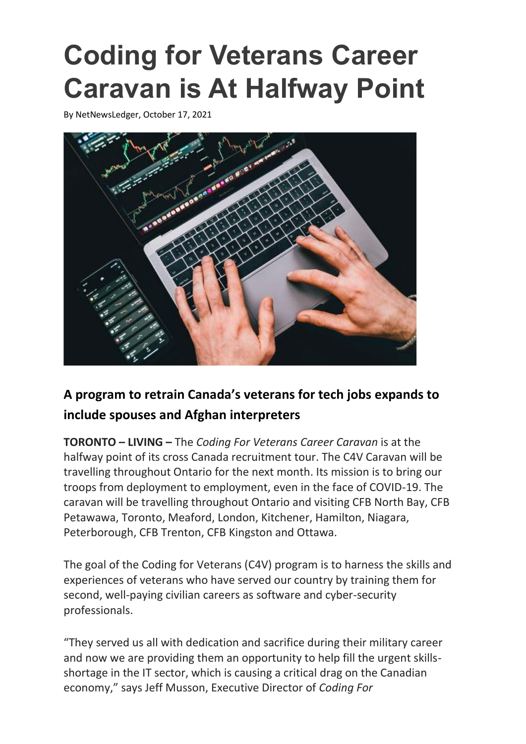## **Coding for Veterans Career Caravan is At Halfway Point**

By [NetNewsLedger,](https://www.netnewsledger.com/author/netnewsledger/) October 17, 2021



## **A program to retrain Canada's veterans for tech jobs expands to include spouses and Afghan interpreters**

**TORONTO – LIVING –** The *Coding For Veterans Career Caravan* is at the halfway point of its cross Canada recruitment tour. The C4V Caravan will be travelling throughout Ontario for the next month. Its mission is to bring our troops from deployment to employment, even in the face of COVID-19. The caravan will be travelling throughout Ontario and visiting CFB North Bay, CFB Petawawa, Toronto, Meaford, London, Kitchener, Hamilton, Niagara, Peterborough, CFB Trenton, CFB Kingston and Ottawa.

The goal of the Coding for Veterans (C4V) program is to harness the skills and experiences of veterans who have served our country by training them for second, well-paying civilian careers as software and cyber-security professionals.

"They served us all with dedication and sacrifice during their military career and now we are providing them an opportunity to help fill the urgent skillsshortage in the IT sector, which is causing a critical drag on the Canadian economy," says Jeff Musson, Executive Director of *Coding For*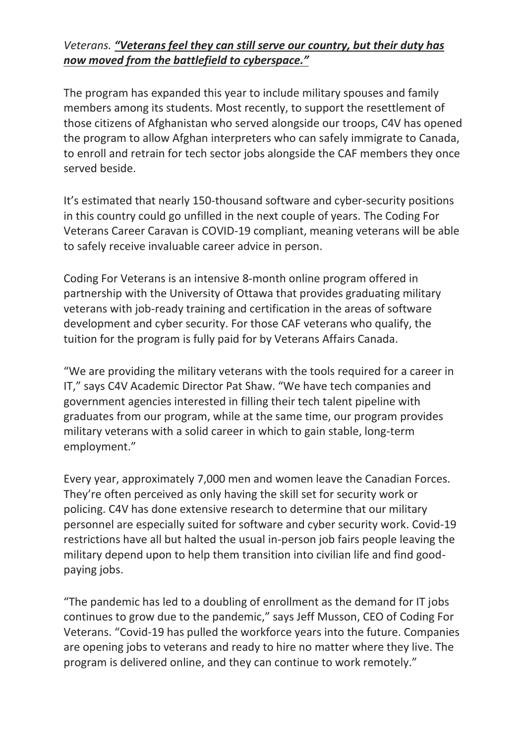## *Veterans. "Veterans feel they can still serve our country, but their duty has now moved from the battlefield to cyberspace."*

The program has expanded this year to include military spouses and family members among its students. Most recently, to support the resettlement of those citizens of Afghanistan who served alongside our troops, C4V has opened the program to allow Afghan interpreters who can safely immigrate to Canada, to enroll and retrain for tech sector jobs alongside the CAF members they once served beside.

It's estimated that nearly 150-thousand software and cyber-security positions in this country could go unfilled in the next couple of years. The Coding For Veterans Career Caravan is COVID-19 compliant, meaning veterans will be able to safely receive invaluable career advice in person.

Coding For Veterans is an intensive 8-month online program offered in partnership with the University of Ottawa that provides graduating military veterans with job-ready training and certification in the areas of software development and cyber security. For those CAF veterans who qualify, the tuition for the program is fully paid for by Veterans Affairs Canada.

"We are providing the military veterans with the tools required for a career in IT," says C4V Academic Director Pat Shaw. "We have tech companies and government agencies interested in filling their tech talent pipeline with graduates from our program, while at the same time, our program provides military veterans with a solid career in which to gain stable, long-term employment."

Every year, approximately 7,000 men and women leave the Canadian Forces. They're often perceived as only having the skill set for security work or policing. C4V has done extensive research to determine that our military personnel are especially suited for software and cyber security work. Covid-19 restrictions have all but halted the usual in-person job fairs people leaving the military depend upon to help them transition into civilian life and find goodpaying jobs.

"The pandemic has led to a doubling of enrollment as the demand for IT jobs continues to grow due to the pandemic," says Jeff Musson, CEO of Coding For Veterans. "Covid-19 has pulled the workforce years into the future. Companies are opening jobs to veterans and ready to hire no matter where they live. The program is delivered online, and they can continue to work remotely."